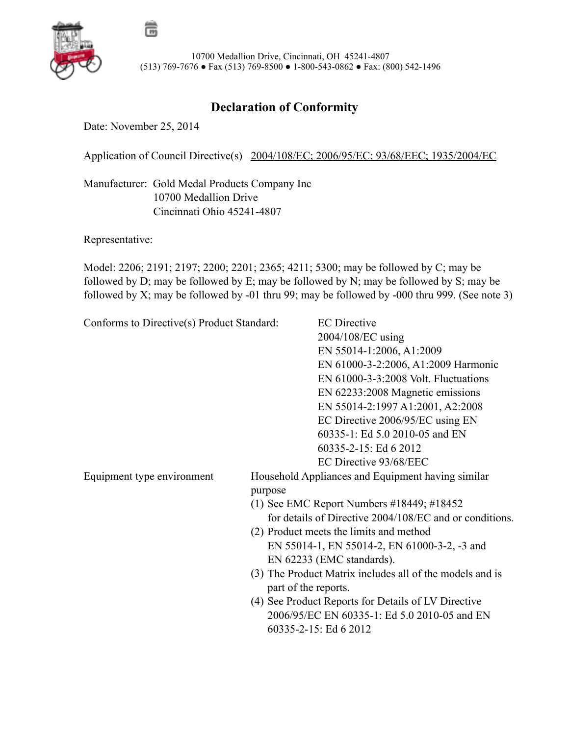

10700 Medallion Drive, Cincinnati, OH 45241-4807 (513) 769-7676 ● Fax (513) 769-8500 ● 1-800-543-0862 ● Fax: (800) 542-1496

## **Declaration of Conformity**

Date: November 25, 2014

Application of Council Directive(s) 2004/108/EC; 2006/95/EC; 93/68/EEC; 1935/2004/EC

 Manufacturer: Gold Medal Products Company Inc 10700 Medallion Drive Cincinnati Ohio 45241-4807

Representative:

Model: 2206; 2191; 2197; 2200; 2201; 2365; 4211; 5300; may be followed by C; may be followed by D; may be followed by E; may be followed by N; may be followed by S; may be followed by X; may be followed by -01 thru 99; may be followed by -000 thru 999. (See note 3)

| Conforms to Directive(s) Product Standard: | <b>EC</b> Directive<br>2004/108/EC using<br>EN 55014-1:2006, A1:2009<br>EN 61000-3-2:2006, A1:2009 Harmonic<br>EN 61000-3-3:2008 Volt. Fluctuations<br>EN 62233:2008 Magnetic emissions<br>EN 55014-2:1997 A1:2001, A2:2008<br>EC Directive 2006/95/EC using EN<br>60335-1: Ed 5.0 2010-05 and EN<br>60335-2-15: Ed 6 2012<br>EC Directive 93/68/EEC                                                                                                                                                                    |
|--------------------------------------------|-------------------------------------------------------------------------------------------------------------------------------------------------------------------------------------------------------------------------------------------------------------------------------------------------------------------------------------------------------------------------------------------------------------------------------------------------------------------------------------------------------------------------|
| Equipment type environment                 | Household Appliances and Equipment having similar<br>purpose<br>(1) See EMC Report Numbers $\#18449$ ; $\#18452$<br>for details of Directive 2004/108/EC and or conditions.<br>(2) Product meets the limits and method<br>EN 55014-1, EN 55014-2, EN 61000-3-2, -3 and<br>EN 62233 (EMC standards).<br>(3) The Product Matrix includes all of the models and is<br>part of the reports.<br>(4) See Product Reports for Details of LV Directive<br>2006/95/EC EN 60335-1: Ed 5.0 2010-05 and EN<br>60335-2-15: Ed 6 2012 |